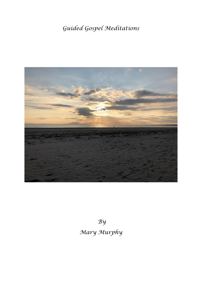# *Guided Gospel Meditations*



*By Mary Murphy*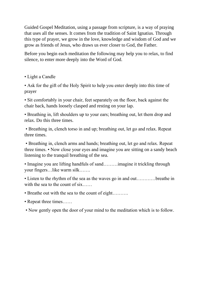Guided Gospel Meditation, using a passage from scripture, is a way of praying that uses all the senses. It comes from the tradition of Saint Ignatius. Through this type of prayer, we grow in the love, knowledge and wisdom of God and we grow as friends of Jesus, who draws us ever closer to God, the Father.

Before you begin each meditation the following may help you to relax, to find silence, to enter more deeply into the Word of God.

• Light a Candle

• Ask for the gift of the Holy Spirit to help you enter deeply into this time of prayer

• Sit comfortably in your chair, feet separately on the floor, back against the chair back, hands loosely clasped and resting on your lap.

• Breathing in, lift shoulders up to your ears; breathing out, let them drop and relax. Do this three times.

• Breathing in, clench torso in and up; breathing out, let go and relax. Repeat three times.

• Breathing in, clench arms and hands; breathing out, let go and relax. Repeat three times. • Now close your eyes and imagine you are sitting on a sandy beach listening to the tranquil breathing of the sea.

• Imagine you are lifting handfuls of sand………imagine it trickling through your fingers…like warm silk…….

• Listen to the rhythm of the sea as the waves go in and out.............breathe in with the sea to the count of six.....

- Breathe out with the sea to the count of eight……….
- Repeat three times......
- Now gently open the door of your mind to the meditation which is to follow.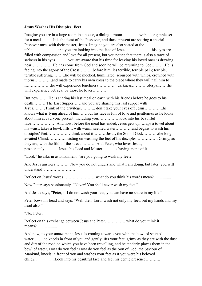#### **Jesus Washes His Disciples' Feet**

Imagine you are in a large room in a house, a dining – room………….with a long table set for a meal………It is the feast of the Passover, and those present are sharing a special Passover meal with their master, Jesus. Imagine you are also seated at the table……………….and you are looking into the face of Jesus………………..his eyes are filled with compassion and love for all present, but you notice that there is also a trace of sadness in his eyes……….you are aware that his time for leaving his loved ones is drawing near…………….He has come from God and soon he will be returning to God……….He is facing into the agony of the Cross……….before him lies terrible, terrible pain; terrible, terrible suffering……….he will be mocked, humiliated, scourged with whips, crowned with thorns………….and made to carry his own cross to the place where they will nail him to it………………he will experience loneliness………….. darkness…………despair……he will experience betrayal by those he loves..........

But now……. He is sharing his last meal on earth with his friends before he goes to his death……….The Last Supper……and you are sharing this last supper with Jesus………Think of the privilege……….. don't take your eyes off Jesus…………..he knows what is lying ahead of him……but his face is full of love and gentleness as he looks about him at everyone present, including you…………… look into his beautiful face……………….And now, before the meal has ended, Jesus gets up, wraps a towel about his waist, takes a bowl, fills it with warm, scented water…………and begins to wash his disciples' feet………………think about it……….Jesus, the Son of God…………the long awaited Christ…………insisting on washing the feet of his disciples……………. Grimy, as they are, with the filth of the streets………. And Peter, who loves Jesus, passionately………..Jesus, his Lord and Master………is having none of it………….

"Lord," he asks in astonishment, "are you going to wash my feet?"

And Jesus answers………."Now you do not understand what I am doing, but later, you will understand"……………………

Reflect on Jesus' words……………………what do you think his words mean?.................

Now Peter says passionately. "Never! You shall never wash my feet."

And Jesus says, "Peter, if I do not wash your feet, you can have no share in my life."

Peter bows his head and says, "Well then, Lord, wash not only my feet, but my hands and my head also."

"No, Peter,"

Reflect on this exchange between Jesus and Peter…………….what do you think it means?....................

And now, to your amazement, Jesus is coming towards you with the bowl of scented water……..he kneels in front of you and gently lifts your feet, grimy as they are with the dust and dirt of the road on which you have been travelling, and he tenderly places them in the bowl of water. How do you feel? How do you feel as the Son of God, the Saviour of Mankind, kneels in front of you and washes your feet as if you were his beloved child?....................Look into his beautiful face and feel his gentle presence………..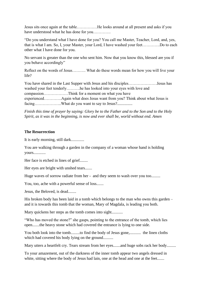Jesus sits once again at the table……………He looks around at all present and asks if you have understood what he has done for you………….

"Do you understand what I have done for you? You call me Master, Teacher, Lord, and, yes, that is what I am. So, I, your Master, your Lord, I have washed your feet………….Do to each other what I have done for you.

No servant is greater than the one who sent him. Now that you know this, blessed are you if you behave accordingly"

Reflect on the words of Jesus………. What do these words mean for how you will live your life?

You have shared in the Last Supper with Jesus and his disciples…………………Jesus has washed your feet tenderly……….he has looked into your eyes with love and compassion………………Think for a moment on what you have experienced………….Again what does Jesus want from you? Think about what Jesus is facing………………………What do you want to say to Jesus?...............

*Finish this time of prayer by saying: Glory be to the Father and to the Son and to the Holy Spirit, as it was in the beginning, is now and ever shall be, world without end. Amen* 

#### **The Resurrection**

It is early morning, still dark.............

You are walking through a garden in the company of a woman whose hand is holding yours............

Her face is etched in lines of grief........

Her eyes are bright with unshed tears.......

Huge waves of sorrow radiate from her - and they seem to wash over you too.........

You, too, ache with a powerful sense of loss.......

Jesus, the Beloved, is dead........

His broken body has been laid in a tomb which belongs to the man who owns this garden – and it is towards this tomb that the woman, Mary of Magdala, is leading you both.

Mary quickens her steps as the tomb comes into sight...........

"Who has moved the stone?" she gasps, pointing to the entrance of the tomb, which lies open.......the heavy stone which had covered the entrance is lying to one side.

You both look into the tomb.........to find the body of Jesus gone,........... the linen cloths which had covered his body lying on the ground.........

Mary utters a heartfelt cry. Tears stream from her eyes.......and huge sobs rack her body.........

To your amazement, out of the darkness of the inner tomb appear two angels dressed in white, sitting where the body of Jesus had lain, one at the head and one at the feet.......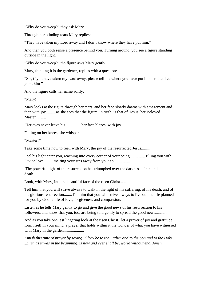"Why do you weep?" they ask Mary.....

Through her blinding tears Mary replies:

"They have taken my Lord away and I don't know where they have put him."

And then you both sense a presence behind you. Turning around, you see a figure standing outside in the light.

"Why do you weep?" the figure asks Mary gently.

Mary, thinking it is the gardener, replies with a question:

"Sir, if you have taken my Lord away, please tell me where you have put him, so that I can go to him."

And the figure calls her name softly.

"Mary!"

Mary looks at the figure through her tears, and her face slowly dawns with amazement and then with joy..........as she sees that the figure, in truth, is that of Jesus, her Beloved Master..........

Her eyes never leave his................her face blazes with joy........

Falling on her knees, she whispers:

"Master!"

Take some time now to feel, with Mary, the joy of the resurrected Jesus..........

Feel his light enter you, reaching into every corner of your being............... filling you with Divine love......... melting your sins away from your soul.............

The powerful light of the resurrection has triumphed over the darkness of sin and death..................

Look, with Mary, into the beautiful face of the risen Christ......

Tell him that you will strive always to walk in the light of his suffering, of his death, and of his glorious resurrection........Tell him that you will strive always to live out the life planned for you by God: a life of love, forgiveness and compassion.

Listen as he tells Mary gently to go and give the good news of his resurrection to his followers, and know that you, too, are being told gently to spread the good news............

And as you take one last lingering look at the risen Christ, let a prayer of joy and gratitude form itself in your mind, a prayer that holds within it the wonder of what you have witnessed with Mary in the garden....................

*Finish this time of prayer by saying: Glory be to the Father and to the Son and to the Holy Spirit, as it was in the beginning, is now and ever shall be, world without end. Amen*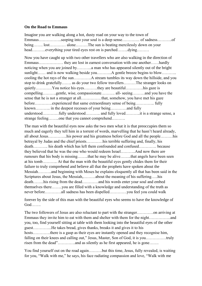#### **On the Road to Emmaus**

Imagine you are walking along a hot, dusty road on your way to the town of Emmaus……………..seeping into your soul is a deep sense…………. of sadness………..of being……. lost………… alone………The sun is beating mercilessly down on your head……….everything your tired eyes rest on is parched……..dying………

Now you have caught up with two other travellers who are also walking in the direction of Emmaus……………… they are lost in earnest conversation with one another……hardly noticing when you are joined by………..a man who has appeared silently out of the bright sunlight…… and is now walking beside you………...A gentle breeze begins to blow……….. cooling the hot rays of the sun………….A stream tumbles its way down the hillside, and you stop to drink gratefully……. as do your two fellow travellers………The stranger looks on quietly…………You notice his eyes……….they are beautiful………….his gaze is compelling……….gentle, wise, compassionate………. all- seeing………and you have the sense that he is not a stranger at all……………that, somehow, you have met his gaze before………….experienced that same extraordinary sense of being………….. fully known……….. in the deepest recesses of your being…………and fully understood…………fully understood……….. and fully loved………..it is a strange sense, a strange feeling……..one that you cannot comprehend……….

The man with the beautiful eyes now asks the two men what it is that preoccupies them so much and eagerly they tell him in a torrent of words, marvelling that he hasn't heard already, all about Jesus…………..his power and his greatness before God and all the people………his betrayal by Judas and the chief priests…………his terrible suffering and, finally, his death……….. his death which has left them confounded and confused…………. because they believed that he was the one who would redeem Israel………..And now there are rumours that his body is missing……..that he may be alive……..that angels have been seen at his tomb……….. At that the man with the beautiful eyes gently chides them for their failure to truly comprehend and believe all that the prophets have spoken about the Messiah……….and beginning with Moses he explains eloquently all that has been said in the Scriptures about Jesus, the Messiah,………about the meaning of his suffering…..his death……..his rising from the dead…………and his words enter your soul and embed themselves there……..you are filled with a knowledge and understanding of the truth as never before…………all sadness has been dispelled………….you feel you could walk

forever by the side of this man with the beautiful eyes who seems to have the knowledge of God…….

The two followers of Jesus are also reluctant to part with the stranger…………on arriving at Emmaus they invite him to eat with them and shelter with them for the night…………….and you, too, find yourself sitting at table with them looking into the beautiful eyes of the other guest…………..He takes bread, gives thanks, breaks it and gives it to his hosts…………there is a gasp as their eyes are instantly opened and they recognise him, falling on their knees and calling out," Jesus, Master, Son of God, it is you……………truly risen from the dead"…………..and as silently as he first appeared, he is gone…….

You find yourself out on the road again……….but this time, Jesus, fully revealed, is waiting for you, "Walk with me," he says, his face radiating compassion and love, "Walk with me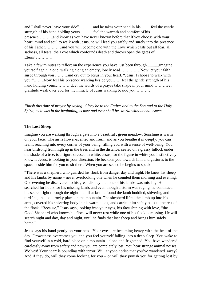and I shall never leave your side"………..and he takes your hand in his……..feel the gentle strength of his hand holding yours……… feel the warmth and comfort of his presence………..and know as you have never known before that if you choose with your heart, mind and soul to walk with Jesus, he will lead you safely and surely into the presence of his Father…………and you will become one with the Love which casts out all fear, all sadness, all tears, the Love which confounds death and throws open the gates of Eternity………..

Take a few minutes to reflect on the experience you have just been through............Imagine yourself again, alone, walking along an empty, lonely road……………Now let your faith surge through you ………and cry out to Jesus in your heart, "Jesus, I choose to walk with you!"……..Now feel his presence walking beside you…… feel the gentle strength of his hand holding yours…………Let the words of a prayer take shape in your mind………feel gratitude wash over you for the miracle of Jesus walking beside you…………

*Finish this time of prayer by saying: Glory be to the Father and to the Son and to the Holy Spirit, as it was in the beginning, is now and ever shall be, world without end. Amen* 

#### **The Lost Sheep**

Imagine you are walking through a gate into a beautiful , green meadow. Sunshine is warm on your face. The air is flower-scented and fresh, and as you breathe it in deeply, you can feel it reaching into every corner of your being, filling you with a sense of well-being. You hear birdsong from high up in the trees and in the distance, seated on a grassy hillock under the shade of a tree, is a figure dressed in white. Jesus, for the figure in white you instinctively know is Jesus, is looking in your direction. He beckons you towards him and gestures to the space beside him for you to sit there. When you are seated he begins to speak.

"There was a shepherd who guarded his flock from danger day and night. He knew his sheep and his lambs by name – never overlooking one when he counted them morning and evening. One evening he discovered to his great dismay that one of his lambs was missing. He searched for hours for his missing lamb, and even though a storm was raging, he continued his search right through the night – until at last he found the lamb huddled, shivering and terrified, in a cold rocky place on the mountain. The shepherd lifted the lamb up into his arms, covered his shivering body in his warm cloak, and carried him safely back to the rest of the flock. "Because," Jesus says, looking into your eyes, his face shining with love, "the Good Shepherd who knows his flock will never rest while one of his flock is missing. He will search night and day, day and night, until he finds that lost sheep and brings him safely home."

Jesus lays his hand gently on your head. Your eyes are becoming heavy with the heat of the day. Drowsiness overcomes you and you feel yourself falling into a deep sleep. You wake to find yourself in a cold, hard place on a mountain - alone and frightened. You have wandered carelessly away from safety and now you are completely lost. You hear strange animal noises. Wolves! Your heart is pounding with terror. Will anyone notice that you've wandered away? And if they do, will they come looking for you – or will they punish you for getting lost by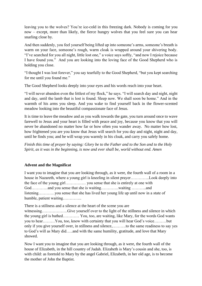leaving you to the wolves? You're ice-cold in this freezing dark. Nobody is coming for you now – except, more than likely, the fierce hungry wolves that you feel sure you can hear snarling close by.

And then suddenly, you feel yourself being lifted up into someone's arms, someone's breath is warm on your face, someone's rough, warm cloak is wrapped around your shivering body. "I've searched for you all night, little lost one," a voice says softly, "and now I rejoice because I have found you." And you are looking into the loving face of the Good Shepherd who is holding you close.

"I thought I was lost forever," you say tearfully to the Good Shepherd, "but you kept searching for me until you found me."

The Good Shepherd looks deeply into your eyes and his words reach into your heart.

"I will never abandon even the littlest of my flock," he says. "I will search day and night, night and day, until the lamb that is lost is found. Sleep now. We shall soon be home." And in the warmth of his arms you sleep. And you wake to find yourself back in the flower-scented meadow looking into the beautiful compassionate face of Jesus.

It is time to leave the meadow and as you walk towards the gate, you turn around once to wave farewell to Jesus and your heart is filled with peace and joy, because you know that you will never be abandoned no matter how far or how often you wander away. No matter how lost, how frightened you are you know that Jesus will search for you day and night, night and day, until he finds you; and he will wrap you warmly in his cloak, and carry you safely home.

*Finish this time of prayer by saying: Glory be to the Father and to the Son and to the Holy Spirit, as it was in the beginning, is now and ever shall be, world without end. Amen* 

# **Advent and the Magnificat**

I want you to imagine that you are looking through, as it were, the fourth wall of a room in a house in Nazareth, where a young girl is kneeling in silent prayer…………..Look deeply into the face of the young girl…………… you sense that she is entirely at one with God…………and you sense that she is waiting………….waiting ………..and listening…………you sense that she has lived her young life up until now in a state of humble, patient waiting…………..

There is a stillness and a silence at the heart of the scene you are witnessing……………………Give yourself over to the light of the stillness and silence in which the young girl is bathed………… You, too, are waiting, like Mary, for the words God wants you to hear………You, too, know with certainty that you will hear God's voice………but only if you give yourself over, in stillness and silence,……….to the same readiness to say yes to God's will as Mary did…..and with the same humility, gratitude, and love that Mary showed.

Now I want you to imagine that you are looking through, as it were, the fourth wall of the house of Elizabeth, in the hill country of Judah. Elizabeth is Mary's cousin and she, too, is with child: as foretold to Mary by the angel Gabriel, Elizabeth, in her old age, is to become the mother of John the Baptist.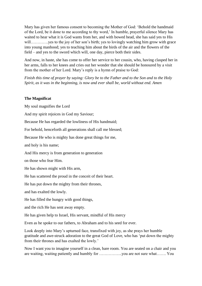Mary has given her famous consent to becoming the Mother of God: 'Behold the handmaid of the Lord, be it done to me according to thy word,' In humble, prayerful silence Mary has waited to hear what it is God wants from her, and with bowed head, she has said yes to His will…………..yes to the joy of her son's birth; yes to lovingly watching him grow with grace into young manhood; yes to teaching him about the birds of the air and the flowers of the field – and yes to the sword which will, one day, pierce both their sides.

And now, in haste, she has come to offer her service to her cousin, who, having clasped her in her arms, falls to her knees and cries out her wonder that she should be honoured by a visit from the mother of her Lord. Mary's reply is a hymn of praise to God:

*Finish this time of prayer by saying: Glory be to the Father and to the Son and to the Holy Spirit, as it was in the beginning, is now and ever shall be, world without end. Amen* 

#### **The Magnificat**

My soul magnifies the Lord

And my spirit rejoices in God my Saviour;

Because He has regarded the lowliness of His handmaid;

For behold, henceforth all generations shall call me blessed;

Because He who is mighty has done great things for me,

and holy is his name;

And His mercy is from generation to generation

on those who fear Him.

He has shown might with His arm,

He has scattered the proud in the conceit of their heart.

He has put down the mighty from their thrones,

and has exalted the lowly.

He has filled the hungry with good things,

and the rich He has sent away empty.

He has given help to Israel, His servant, mindful of His mercy

Even as he spoke to our fathers, to Abraham and to his seed for ever.

Look deeply into Mary's upturned face, transfixed with joy, as she prays her humble gratitude and awe-struck adoration to the great God of Love, who has 'put down the mighty from their thrones and has exalted the lowly.'

Now I want you to imagine yourself in a clean, bare room. You are seated on a chair and you are waiting, waiting patiently and humbly for ……………..you are not sure what……. You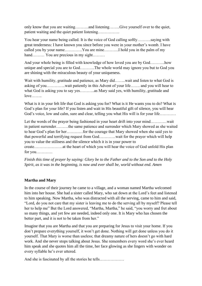only know that you are waiting……….and listening……..Give yourself over to the quiet, patient waiting and the quiet patient listening…………….

You hear your name being called. It is the voice of God calling softly……….saying with great tenderness: I have known you since before you were in your mother's womb. I have called you by your name………….You are mine………..I hold you in the palm of my hand……… You are precious in my sight………

And your whole being is filled with knowledge of how loved you are by God………..how unique and special you are to God………..The whole world may ignore you but to God you are shining with the miraculous beauty of your uniqueness.

Wait with humility, gratitude and patience, as Mary did……..wait and listen to what God is asking of you…………..wait patiently in this Advent of your life……. and you will hear to what God is asking you to say yes………..as Mary said yes, with humility, gratitude and  $love$ 

What is it in your felt life that God is asking you for? What is it He wants you to do? What is God's plan for your life? If you listen and wait in His beautiful gift of silence, you will hear God's voice, low and calm, sure and clear, telling you what His will is for your life…………

Let the words of the prayer being fashioned in your heart drift into your mind…………wait in patient surrender………the same patience and surrender which Mary showed as she waited to hear God's plan for her…………for the courage that Mary showed when she said yes to that powerful and terrifying request from God…………wait for the prayer which will help you to value the stillness and the silence which it is in your power to create…………………at the heart of which you will hear the voice of God unfold His plan for you…………

*Finish this time of prayer by saying: Glory be to the Father and to the Son and to the Holy Spirit, as it was in the beginning, is now and ever shall be, world without end. Amen* 

## **Martha and Mary**

In the course of their journey he came to a village, and a woman named Martha welcomed him into her house. She had a sister called Mary, who sat down at the Lord's feet and listened to him speaking. Now Martha, who was distracted with all the serving, came to him and said, "Lord, do you not care that my sister is leaving me to do the serving all by myself? Please tell her to help me" But the Lord answered, "Martha, Martha," he said, "you worry and fret about so many things, and yet few are needed, indeed only one. It is Mary who has chosen the better part, and it is not to be taken from her."

Imagine that you are Martha and that you are preparing for Jesus to visit your home. If you don't prepare everything yourself, it won't get done. Nothing will get done unless you do it yourself. That Mary is worse than useless; that dreamy nature of hers doesn't go with hard work. And she never stops talking about Jesus. She remembers every word she's ever heard him speak and she quotes him all the time, her face glowing as she lingers with wonder on every syllable he's ever uttered.

And she is fascinated by all the stories he tells………………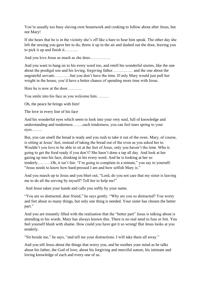You're usually too busy slaving over housework and cooking to follow about after Jesus, but not Mary!

If she hears that he is in the vicinity she's off like a hare to hear him speak. The other day she left the sewing you gave her to do, threw it up in the air and dashed out the door, leaving you to pick it up and finish it……….

And you love Jesus as much as she does……………

And you want to hang on to his every word too, and retell his wonderful stories, like the one about the prodigal son and his loving, forgiving father…………… and the one about the ungrateful servant…………but you don't have the time. If only Mary would just pull her weight in the house, you'd have a better chance of spending more time with Jesus.

Here he is now at the door………..

You smile into his face as you welcome him………

Oh, the peace he brings with him!

The love in every line of his face

And his wonderful eyes which seem to look into your very soul, full of knowledge and understanding and tenderness……..such tenderness, you can feel tears spring to your eyes……..

But, you can smell the bread is ready and you rush to take it out of the oven. Mary, of course, is sitting at Jesus' feet, instead of taking the bread out of the oven as you asked her to. Wouldn't you love to be able to sit at the feet of Jesus, only you haven't the time. Who is going to get the food ready if you don't? She hasn't done a tap all day. And look at her gazing up into his face, drinking in his every word. And he is looking at her so tenderly……….Oh, it isn't fair. "I'm going to complain in a minute," you say to yourself. "Jesus needs to know how hard-pressed I am and how selfish Mary is."

And you march up to Jesus and you blurt out, "Lord, do you not care that my sister is leaving me to do all the serving by myself? Tell her to help me!"

And Jesus takes your hands and calls you softly by your name.

"You are so distracted, dear friend," he says gently. "Why are you so distracted? You worry and fret about so many things, but only one thing is needed. Your sister has chosen the better part."

And you are instantly filled with the realisation that the "better part" Jesus is talking about is attending to his words. Mary has always known this. There is no real need to fuss or fret. You feel yourself blush with shame. How could you have got it so wrong! But Jesus looks at you tenderly.

"Sit beside me," he says, "and tell me your distractions. I will take them all away."

And you tell Jesus about the things that worry you, and he soothes your mind as he talks about his father, the God of love, about his forgiving and merciful nature, his intimate and loving knowledge of each and every one of us.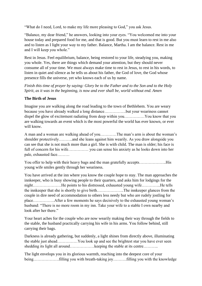"What do I need, Lord, to make my life more pleasing to God," you ask Jesus.

"Balance, my dear friend," he answers, looking into your eyes. "You welcomed me into your house today and prepared food for me, and that is good. But you must learn to rest in me also and to listen as I light your way to my father. Balance, Martha. I am the balance. Rest in me and I will keep you whole."

Rest in Jesus. Feel equilibrium, balance, being restored to your life, steadying you, making you whole. Yes, there are things which demand your attention, but they should never consume all of your time. We must always make time to rest in Jesus, to rest in his words, to listen in quiet and silence as he tells us about his father, the God of love, the God whose presence fills the universe, yet who knows each of us by name.

*Finish this time of prayer by saying: Glory be to the Father and to the Son and to the Holy Spirit, as it was in the beginning, is now and ever shall be, world without end. Amen* 

#### **The Birth of Jesus**

Imagine you are walking along the road leading to the town of Bethlehem. You are weary because you have already walked a long distance…………….but your weariness cannot dispel the glow of excitement radiating from deep within you……………You know that you are walking towards an event which is the most powerful the world has ever known, or ever will know.

A man and a woman are walking ahead of you…………The man's arm is about the woman's shoulder protectively……….and she leans against him wearily. As you draw alongside you can see that she is not much more than a girl. She is with child. The man is older; his face is full of concern for his wife…………… you can sense his anxiety as he looks down into her pale, exhausted face………

You offer to help with their heavy bags and the man gratefully accepts………………..His young wife smiles gently through her weariness.

You have arrived at the inn where you know the couple hope to stay. The man approaches the innkeeper, who is busy showing people to their quarters, and asks him for lodgings for the night…………………He points to his distressed, exhausted young wife…………..He tells the innkeeper that she is shortly to give birth………………..The innkeeper glances from the couple in dire need of accommodation to others less needy but who are rudely jostling for place…………….After a few moments he says decisively to the exhausted young woman's husband: "There is no more room in my inn. Take your wife to a stable I own nearby and look after her there."

Your heart aches for the couple who are now wearily making their way through the fields to the stable, the husband practically carrying his wife in his arms. You follow behind, still carrying their bags.

Darkness is already gathering, but suddenly, a light shines from directly above, illuminating the stable just ahead……………You look up and see the brightest star you have ever seen shedding its light all around………………keeping the stable at its centre………..

The light envelops you in its glorious warmth, reaching into the deepest core of your being……………….filling you with breath-taking joy……….filling you with the knowledge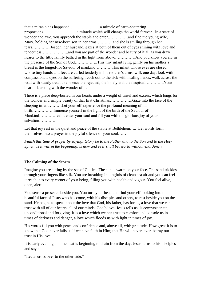that a miracle has happened…………………..a miracle of earth-shattering proportions…………………… a miracle which will change the world forever. In a state of wonder and awe, you approach the stable and enter……………and find the young wife, Mary, holding her new-born son in her arms…………and she is smiling through her tears…………..Joseph, her husband, gazes at both of them out of eyes shining with love and tenderness………………..and you are part of the wonder and beauty of it all as you draw nearer to the little family bathed in the light from above……………And you know you are in the presence of the Son of God……………..This tiny infant lying gently on his mother's breast is the longed-for Saviour of mankind…………This infant whose eyes are closed, whose tiny hands and feet are curled tenderly in his mother's arms, will, one day, look with compassionate eyes on the suffering, reach out to the sick with healing hands, walk across the road with steady tread to embrace the rejected, the lonely and the despised…………..Your heart is bursting with the wonder of it.

There is a place deep-buried in our hearts under a weight of tinsel and excess, which longs for the wonder and simple beauty of that first Christmas……………..Gaze into the face of the sleeping infant……….Let yourself experience the profound meaning of his birth…………….Immerse yourself in the light of the birth of the Saviour of Mankind…………feel it enter your soul and fill you with the glorious joy of your salvation…………

Let that joy rest in the quiet and peace of the stable at Bethlehem..... Let words form themselves into a prayer in the joyful silence of your soul……

*Finish this time of prayer by saying: Glory be to the Father and to the Son and to the Holy Spirit, as it was in the beginning, is now and ever shall be, world without end. Amen* 

## **The Calming of the Storm**

Imagine you are sitting by the sea of Galilee. The sun is warm on your face. The sand trickles through your fingers like silk. You are breathing in lungfuls of clean sea air and you can feel it reach into every corner of your being, filling you with health and vigour. You feel alive, open, alert.

You sense a presence beside you. You turn your head and find yourself looking into the beautiful face of Jesus who has come, with his disciples and others, to rest beside you on the sand. He begins to speak about the love that God, his father, has for us, a love that we can trust with all of our hearts, all of our minds. God's love, Jesus tells us, is compassionate, unconditional and forgiving. It is a love which we can trust to comfort and console us in times of darkness and danger, a love which floods us with light in times of joy.

His words fill you with peace and confidence and, above all, with gratitude. How great it is to know that God never fails us if we have faith in Him; that He will never, ever, betray our trust in His love.

It is early evening and the heat is beginning to drain from the day. Jesus turns to his disciples and says:

"Let us cross over to the other side."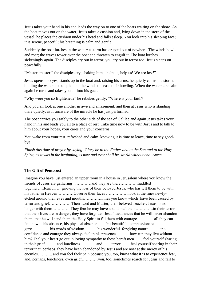Jesus takes your hand in his and leads the way on to one of the boats waiting on the shore. As the boat moves out on the water, Jesus takes a cushion and, lying down in the stern of the vessel, he places the cushion under his head and falls asleep. You look into his sleeping face; it is serene, peaceful; his breathing is calm and gentle.

Suddenly the boat lurches in the water: a storm has erupted out of nowhere. The winds howl and roar; the waves tower over the boat and threaten to engulf it .The boat lurches sickeningly again. The disciples cry out in terror; you cry out in terror too. Jesus sleeps on peacefully.

"Master, master," the disciples cry, shaking him, "help us, help us! We are lost!"

Jesus opens his eyes, stands up in the boat and, raising his arms, he quietly calms the storm, bidding the waters to be quiet and the winds to cease their howling. When the waters are calm again he turns and takes you all into his gaze.

"Why were you so frightened?" he rebukes gently; "Where is your faith?

And you all look at one another in awe and amazement, and then at Jesus who is standing there quietly, as if unaware of the miracle he has just performed.

The boat carries you safely to the other side of the sea of Galilee and again Jesus takes your hand in his and leads you all to a place of rest. Take time now to be with Jesus and to talk to him about your hopes, your cares and your concerns.

You wake from your rest, refreshed and calm, knowing it is time to leave, time to say goodbye.

*Finish this time of prayer by saying: Glory be to the Father and to the Son and to the Holy Spirit, as it was in the beginning, is now and ever shall be, world without end. Amen* 

#### **The Gift of Pentecost**

Imagine you have just entered an upper room in a house in Jerusalem where you know the friends of Jesus are gathering …………and they are there………….huddled together…..fearful, … grieving the loss of their beloved Jesus, who has left them to be with his father in Heaven………..Observe their faces ……………..look at the lines newlyetched around their eyes and mouths…………..lines you know which have been caused by terror and grief……………..Their Lord and Master, their beloved Teacher, Jesus, is no longer with them…………. They fear he may have abandoned them………….in their terror that their lives are in danger, they have forgotten Jesus' assurances that he will never abandon them, that he will send them the Holy Spirit to fill them with courage………….all they can feel now is his absence, his physical absence…….his beautiful, compassionate gaze…………..his words of wisdom……….his wonderful forgiving nature………the confidence and courage they always feel in his presence………..how can they live without him? Feel your heart go out in loving sympathy to these bereft men…….feel yourself sharing in their grief………and loneliness…………and ……terror……..feel yourself sharing in their terror that, perhaps, they have been abandoned by Jesus and are now at the mercy of his enemies……….. and you feel their pain because you, too, know what it is to experience fear, and, perhaps, loneliness, even grief…………you, too, sometimes search for Jesus and fail to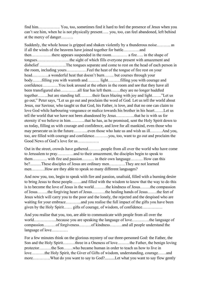find him……………. You, too, sometimes find it hard to feel the presence of Jesus when you can't see him, when he is not physically present….. you, too, can feel abandoned, left behind at the mercy of danger………

Suddenly, the whole house is gripped and shaken violently by a thunderous noise………. as if all the winds of the heavens have joined together for battle…………and then……………there appears suspended in the room………… a fire….. in the shape of tongues……………………the sight of which fills everyone present with amazement and disbelief ………………..The tongues separate and come to rest on the head of each person in the room, including yours……………Feel the heat of the tongue of fire rest on your head…………a wonderful heat that doesn't burn……. but courses through your body…….filling you with warmth and……… light………filling you with courage and confidence…………You look around at the others in the room and see that they have all been transfigured also………….all fear has left them…….they are no longer huddled together……..but are standing tall………their faces blazing with joy and light……."Let us go out," Peter says, "Let us go out and proclaim the word of God. Let us tell the world about Jesus, our Saviour, who taught us that God, his Father, is love, and that no one can claim to love God while harbouring vengeance or malice towards his brother in his heart…….Let us tell the world that we have not been abandoned by Jesus…………..that he is with us for eternity if we believe in him………..that he has, as he promised, sent the Holy Spirit down to us today, filling us with courage and confidence, and love for all mankind, even those who may persecute us in the future………..even those who hate us and wish us ill………And you, too, are filled with courage and confidence………..you, too, want to go out and proclaim the Good News of God's love for us…………….

Out in the street, crowds have gathered……….people from all over the world who have come to Jerusalem to pray…………and to their amazement, the disciples begin to speak to them……….. with fire and passion……… in their own language……… How can this be?...........These disciples of Jesus are ordinary men…………They are not learned men……….How are they able to speak so many different languages?

And now you, too, begin to speak with fire and passion, unafraid, filled with a burning desire to bring Jesus to these people…….and filled with the wisdom to know that the way to do this is to become the love of Jesus in the world………the kindness of Jesus……..the compassion of Jesus……..the forgiving heart of Jesus……….the healing hands of Jesus…….the feet of Jesus which will carry you to the poor and the lonely, the rejected and the despised who are waiting for your embrace……....and you realise the full impact of the gifts you have been given by the Holy Spirit…… gifts of courage, of wisdom, of confidence……………

And you realise that you, too, are able to communicate with people from all over the world……………..because you are speaking the language of love………….the language of compassion………of forgiveness………of kindness………and all people understand the language of love…………

For a few minutes think on the glorious mystery of our three-personed God: the Father, the Son and the Holy Spirit………three in a Oneness of love………the Father, the benign loving protector………the Son…….who became human in order to teach us how to live in love……….the Holy Spirit, the Giver of Gifts of wisdom, understanding, courage……and more………….What do you want to say to God?..........Let what you want to say flow gently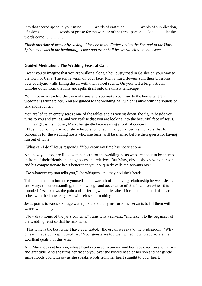into that sacred space in your mind……….words of gratitude…………words of supplication, of asking……………words of praise for the wonder of the three-personed God………let the words come……………

*Finish this time of prayer by saying: Glory be to the Father and to the Son and to the Holy Spirit, as it was in the beginning, is now and ever shall be, world without end. Amen* 

#### **Guided Meditation: The Wedding Feast at Cana**

I want you to imagine that you are walking along a hot, dusty road in Galilee on your way to the town of Cana. The sun is warm on your face. Richly hued flowers spill their blossoms over courtyard walls filling the air with their sweet scents. On your left a bright stream tumbles down from the hills and spills itself onto the thirsty landscape.

You have now reached the town of Cana and you make your way to the house where a wedding is taking place. You are guided to the wedding hall which is alive with the sounds of talk and laughter.

You are led to an empty seat at one of the tables and as you sit down, the figure beside you turns to you and smiles, and you realise that you are looking into the beautiful face of Jesus. On his right is his mother, Mary, her gentle face wearing a look of concern.

"They have no more wine," she whispers to her son, and you know instinctively that her concern is for the wedding hosts who, she fears, will be shamed before their guests for having run out of wine.

"What can I do?" Jesus responds. "You know my time has not yet come."

And now you, too, are filled with concern for the wedding hosts who are about to be shamed in front of their friends and neighbours and relatives. But Mary, obviously knowing her son and his compassionate heart better than you do, quietly calls the servants over.

"Do whatever my son tells you," she whispers, and they nod their heads.

Take a moment to immerse yourself in the warmth of the loving relationship between Jesus and Mary: the understanding, the knowledge and acceptance of God's will on which it is founded. Jesus knows the pain and suffering which lies ahead for his mother and his heart aches with the knowledge. He will refuse her nothing.

Jesus points towards six huge water jars and quietly instructs the servants to fill them with water, which they do.

"Now draw some of the jar's contents," Jesus tells a servant, "and take it to the organiser of the wedding feast so that he may taste."

"This wine is the best wine I have ever tasted," the organiser says to the bridegroom, "Why on earth have you kept it until last? Your guests are too well wined now to appreciate the excellent quality of this wine."

And Mary looks at her son, whose head is bowed in prayer, and her face overflows with love and gratitude. And she turns her face to you over the bowed head of her son and her gentle smile floods you with joy as she speaks words from her heart straight to your heart.